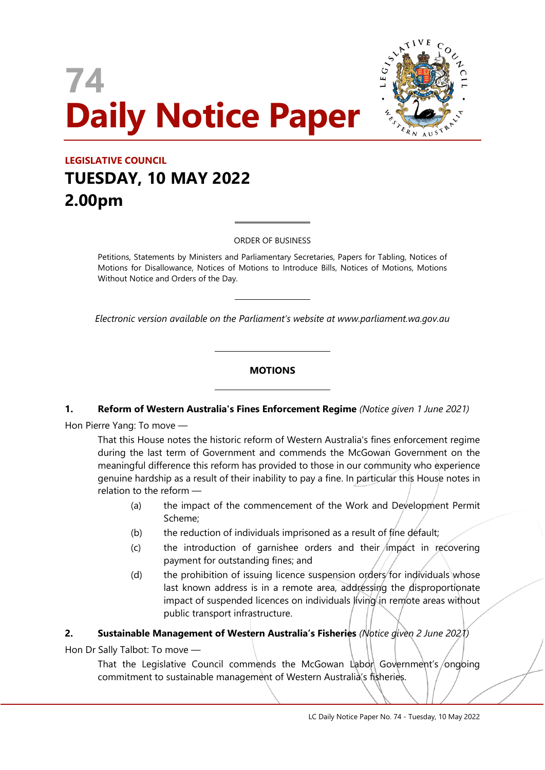# **74 Daily Notice Paper**



# **LEGISLATIVE COUNCIL TUESDAY, 10 MAY 2022 2.00pm**

ORDER OF BUSINESS

 $\overline{a}$ 

 $\overline{a}$ 

 $\overline{\phantom{a}}$ 

 $\overline{\phantom{a}}$ 

Petitions, Statements by Ministers and Parliamentary Secretaries, Papers for Tabling, Notices of Motions for Disallowance, Notices of Motions to Introduce Bills, Notices of Motions, Motions Without Notice and Orders of the Day.

*Electronic version available on the Parliament's website at www.parliament.wa.gov.au*

# **MOTIONS**

#### **1. Reform of Western Australia's Fines Enforcement Regime** *(Notice given 1 June 2021)*

Hon Pierre Yang: To move —

That this House notes the historic reform of Western Australia's fines enforcement regime during the last term of Government and commends the McGowan Government on the meaningful difference this reform has provided to those in our community who experience genuine hardship as a result of their inability to pay a fine. In particular this House notes in relation to the reform —

- (a) the impact of the commencement of the Work and Development Permit Scheme;
- (b) the reduction of individuals imprisoned as a result of fine default;
- $(c)$  the introduction of garnishee orders and their impact in recovering payment for outstanding fines; and
- (d) the prohibition of issuing licence suspension orders for individuals whose last known address is in a remote area, addressing the disproportionate impact of suspended licences on individuals living in remote areas without public transport infrastructure.

# **2. Sustainable Management of Western Australia's Fisheries** *(Notice given 2 June 2021)*

Hon Dr Sally Talbot: To move —

That the Legislative Council commends the McGowan Labon Government's/ongoing commitment to sustainable management of Western Australia's fisheries.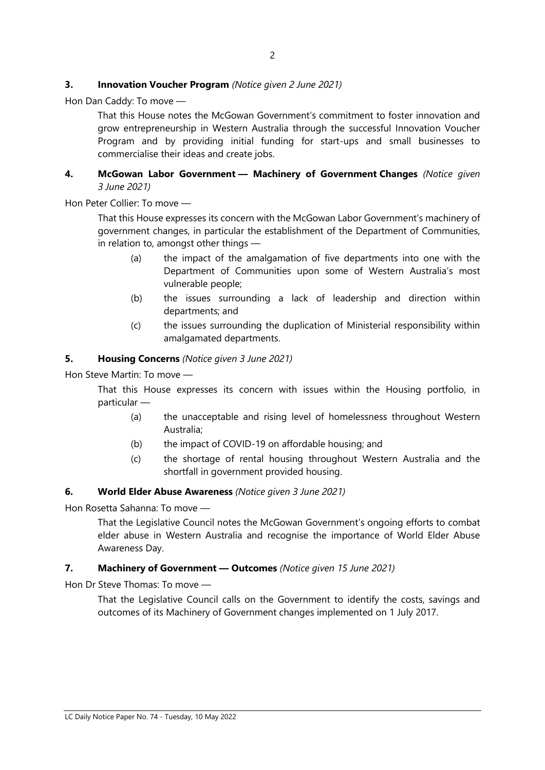#### **3. Innovation Voucher Program** *(Notice given 2 June 2021)*

Hon Dan Caddy: To move —

That this House notes the McGowan Government's commitment to foster innovation and grow entrepreneurship in Western Australia through the successful Innovation Voucher Program and by providing initial funding for start-ups and small businesses to commercialise their ideas and create jobs.

#### **4. McGowan Labor Government — Machinery of Government Changes** *(Notice given 3 June 2021)*

Hon Peter Collier: To move —

That this House expresses its concern with the McGowan Labor Government's machinery of government changes, in particular the establishment of the Department of Communities, in relation to, amongst other things —

- (a) the impact of the amalgamation of five departments into one with the Department of Communities upon some of Western Australia's most vulnerable people;
- (b) the issues surrounding a lack of leadership and direction within departments; and
- (c) the issues surrounding the duplication of Ministerial responsibility within amalgamated departments.

#### **5. Housing Concerns** *(Notice given 3 June 2021)*

Hon Steve Martin: To move —

That this House expresses its concern with issues within the Housing portfolio, in particular —

- (a) the unacceptable and rising level of homelessness throughout Western Australia;
- (b) the impact of COVID-19 on affordable housing; and
- (c) the shortage of rental housing throughout Western Australia and the shortfall in government provided housing.

#### **6. World Elder Abuse Awareness** *(Notice given 3 June 2021)*

Hon Rosetta Sahanna: To move —

That the Legislative Council notes the McGowan Government's ongoing efforts to combat elder abuse in Western Australia and recognise the importance of World Elder Abuse Awareness Day.

#### **7. Machinery of Government — Outcomes** *(Notice given 15 June 2021)*

Hon Dr Steve Thomas: To move —

That the Legislative Council calls on the Government to identify the costs, savings and outcomes of its Machinery of Government changes implemented on 1 July 2017.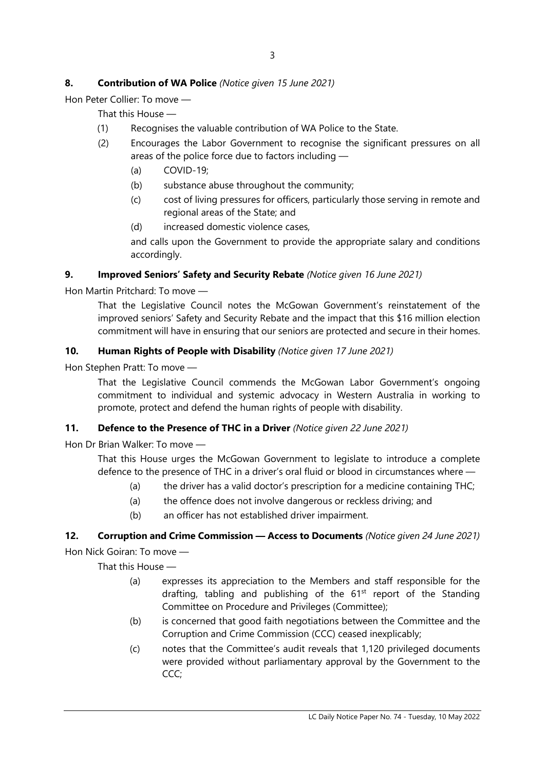# **8. Contribution of WA Police** *(Notice given 15 June 2021)*

Hon Peter Collier: To move —

That this House —

- (1) Recognises the valuable contribution of WA Police to the State.
- (2) Encourages the Labor Government to recognise the significant pressures on all areas of the police force due to factors including —
	- (a) COVID-19;
	- (b) substance abuse throughout the community;
	- (c) cost of living pressures for officers, particularly those serving in remote and regional areas of the State; and
	- (d) increased domestic violence cases,

and calls upon the Government to provide the appropriate salary and conditions accordingly.

#### **9. Improved Seniors' Safety and Security Rebate** *(Notice given 16 June 2021)*

Hon Martin Pritchard: To move —

That the Legislative Council notes the McGowan Government's reinstatement of the improved seniors' Safety and Security Rebate and the impact that this \$16 million election commitment will have in ensuring that our seniors are protected and secure in their homes.

#### **10. Human Rights of People with Disability** *(Notice given 17 June 2021)*

Hon Stephen Pratt: To move —

That the Legislative Council commends the McGowan Labor Government's ongoing commitment to individual and systemic advocacy in Western Australia in working to promote, protect and defend the human rights of people with disability.

# **11. Defence to the Presence of THC in a Driver** *(Notice given 22 June 2021)*

Hon Dr Brian Walker: To move —

That this House urges the McGowan Government to legislate to introduce a complete defence to the presence of THC in a driver's oral fluid or blood in circumstances where —

- (a) the driver has a valid doctor's prescription for a medicine containing THC;
- (a) the offence does not involve dangerous or reckless driving; and
- (b) an officer has not established driver impairment.

# **12. Corruption and Crime Commission — Access to Documents** *(Notice given 24 June 2021)*

Hon Nick Goiran: To move —

That this House —

- (a) expresses its appreciation to the Members and staff responsible for the drafting, tabling and publishing of the  $61<sup>st</sup>$  report of the Standing Committee on Procedure and Privileges (Committee);
- (b) is concerned that good faith negotiations between the Committee and the Corruption and Crime Commission (CCC) ceased inexplicably;
- (c) notes that the Committee's audit reveals that 1,120 privileged documents were provided without parliamentary approval by the Government to the CCC;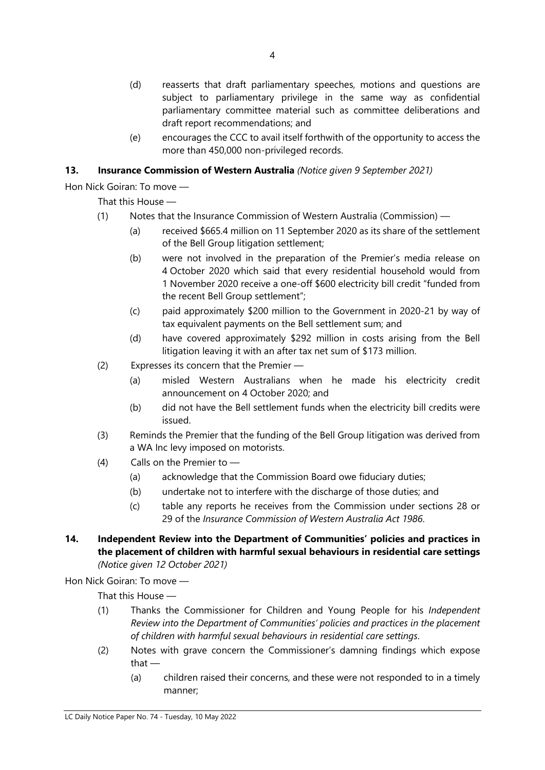- (d) reasserts that draft parliamentary speeches, motions and questions are subject to parliamentary privilege in the same way as confidential parliamentary committee material such as committee deliberations and draft report recommendations; and
- (e) encourages the CCC to avail itself forthwith of the opportunity to access the more than 450,000 non-privileged records.

# **13. Insurance Commission of Western Australia** *(Notice given 9 September 2021)*

Hon Nick Goiran: To move —

That this House —

- (1) Notes that the Insurance Commission of Western Australia (Commission)
	- (a) received \$665.4 million on 11 September 2020 as its share of the settlement of the Bell Group litigation settlement;
	- (b) were not involved in the preparation of the Premier's media release on 4 October 2020 which said that every residential household would from 1 November 2020 receive a one-off \$600 electricity bill credit "funded from the recent Bell Group settlement";
	- (c) paid approximately \$200 million to the Government in 2020-21 by way of tax equivalent payments on the Bell settlement sum; and
	- (d) have covered approximately \$292 million in costs arising from the Bell litigation leaving it with an after tax net sum of \$173 million.
- (2) Expresses its concern that the Premier
	- (a) misled Western Australians when he made his electricity credit announcement on 4 October 2020; and
	- (b) did not have the Bell settlement funds when the electricity bill credits were issued.
- (3) Reminds the Premier that the funding of the Bell Group litigation was derived from a WA Inc levy imposed on motorists.
- (4) Calls on the Premier to
	- (a) acknowledge that the Commission Board owe fiduciary duties;
	- (b) undertake not to interfere with the discharge of those duties; and
	- (c) table any reports he receives from the Commission under sections 28 or 29 of the *Insurance Commission of Western Australia Act 1986*.
- **14. Independent Review into the Department of Communities' policies and practices in the placement of children with harmful sexual behaviours in residential care settings** *(Notice given 12 October 2021)*

Hon Nick Goiran: To move —

That this House —

- (1) Thanks the Commissioner for Children and Young People for his *Independent Review into the Department of Communities' policies and practices in the placement of children with harmful sexual behaviours in residential care settings*.
- (2) Notes with grave concern the Commissioner's damning findings which expose that —
	- (a) children raised their concerns, and these were not responded to in a timely manner;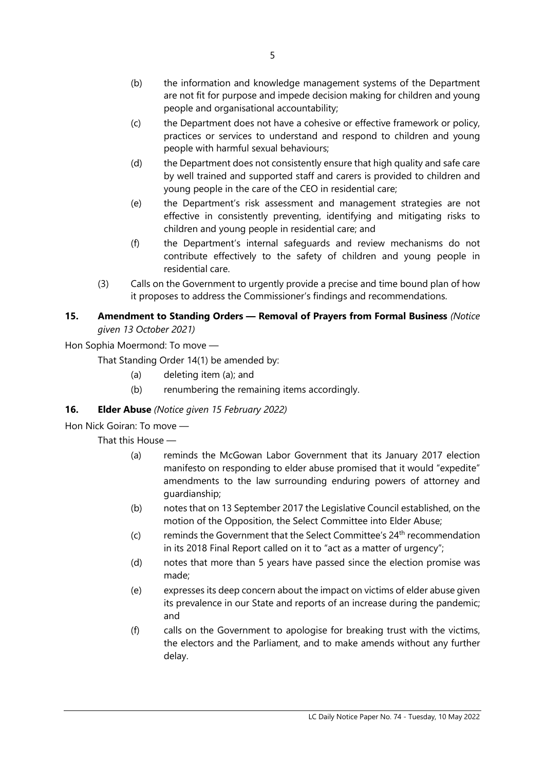- (b) the information and knowledge management systems of the Department are not fit for purpose and impede decision making for children and young people and organisational accountability;
- (c) the Department does not have a cohesive or effective framework or policy, practices or services to understand and respond to children and young people with harmful sexual behaviours;
- (d) the Department does not consistently ensure that high quality and safe care by well trained and supported staff and carers is provided to children and young people in the care of the CEO in residential care;
- (e) the Department's risk assessment and management strategies are not effective in consistently preventing, identifying and mitigating risks to children and young people in residential care; and
- (f) the Department's internal safeguards and review mechanisms do not contribute effectively to the safety of children and young people in residential care.
- (3) Calls on the Government to urgently provide a precise and time bound plan of how it proposes to address the Commissioner's findings and recommendations.

## **15. Amendment to Standing Orders — Removal of Prayers from Formal Business** *(Notice given 13 October 2021)*

Hon Sophia Moermond: To move —

That Standing Order 14(1) be amended by:

- (a) deleting item (a); and
- (b) renumbering the remaining items accordingly.

# **16. Elder Abuse** *(Notice given 15 February 2022)*

# Hon Nick Goiran: To move —

That this House —

- (a) reminds the McGowan Labor Government that its January 2017 election manifesto on responding to elder abuse promised that it would "expedite" amendments to the law surrounding enduring powers of attorney and guardianship;
- (b) notes that on 13 September 2017 the Legislative Council established, on the motion of the Opposition, the Select Committee into Elder Abuse;
- (c) reminds the Government that the Select Committee's  $24<sup>th</sup>$  recommendation in its 2018 Final Report called on it to "act as a matter of urgency";
- (d) notes that more than 5 years have passed since the election promise was made;
- (e) expresses its deep concern about the impact on victims of elder abuse given its prevalence in our State and reports of an increase during the pandemic; and
- (f) calls on the Government to apologise for breaking trust with the victims, the electors and the Parliament, and to make amends without any further delay.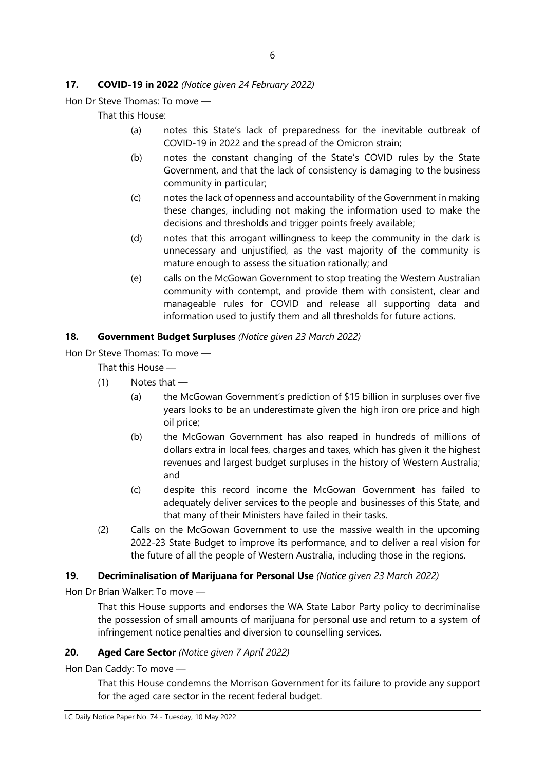### **17. COVID-19 in 2022** *(Notice given 24 February 2022)*

Hon Dr Steve Thomas: To move —

That this House:

- (a) notes this State's lack of preparedness for the inevitable outbreak of COVID-19 in 2022 and the spread of the Omicron strain;
- (b) notes the constant changing of the State's COVID rules by the State Government, and that the lack of consistency is damaging to the business community in particular;
- (c) notes the lack of openness and accountability of the Government in making these changes, including not making the information used to make the decisions and thresholds and trigger points freely available;
- (d) notes that this arrogant willingness to keep the community in the dark is unnecessary and unjustified, as the vast majority of the community is mature enough to assess the situation rationally; and
- (e) calls on the McGowan Government to stop treating the Western Australian community with contempt, and provide them with consistent, clear and manageable rules for COVID and release all supporting data and information used to justify them and all thresholds for future actions.

#### **18. Government Budget Surpluses** *(Notice given 23 March 2022)*

Hon Dr Steve Thomas: To move —

That this House —

- (1) Notes that
	- (a) the McGowan Government's prediction of \$15 billion in surpluses over five years looks to be an underestimate given the high iron ore price and high oil price;
	- (b) the McGowan Government has also reaped in hundreds of millions of dollars extra in local fees, charges and taxes, which has given it the highest revenues and largest budget surpluses in the history of Western Australia; and
	- (c) despite this record income the McGowan Government has failed to adequately deliver services to the people and businesses of this State, and that many of their Ministers have failed in their tasks.
- (2) Calls on the McGowan Government to use the massive wealth in the upcoming 2022-23 State Budget to improve its performance, and to deliver a real vision for the future of all the people of Western Australia, including those in the regions.

#### **19. Decriminalisation of Marijuana for Personal Use** *(Notice given 23 March 2022)*

Hon Dr Brian Walker: To move —

That this House supports and endorses the WA State Labor Party policy to decriminalise the possession of small amounts of marijuana for personal use and return to a system of infringement notice penalties and diversion to counselling services.

#### **20. Aged Care Sector** *(Notice given 7 April 2022)*

Hon Dan Caddy: To move —

That this House condemns the Morrison Government for its failure to provide any support for the aged care sector in the recent federal budget.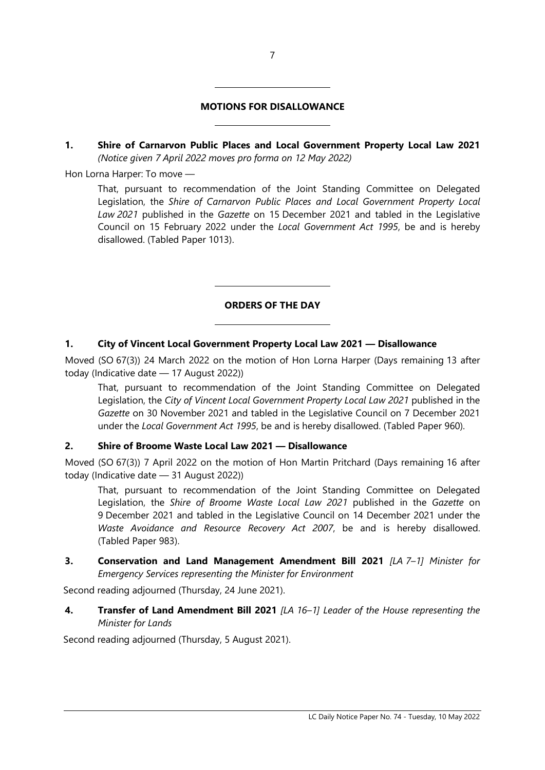#### **MOTIONS FOR DISALLOWANCE**

 $\overline{\phantom{a}}$ 

 $\overline{\phantom{a}}$ 

 $\overline{\phantom{a}}$ 

 $\overline{\phantom{a}}$ 

**1. Shire of Carnarvon Public Places and Local Government Property Local Law 2021** *(Notice given 7 April 2022 moves pro forma on 12 May 2022)*

Hon Lorna Harper: To move —

That, pursuant to recommendation of the Joint Standing Committee on Delegated Legislation, the *Shire of Carnarvon Public Places and Local Government Property Local Law 2021* published in the *Gazette* on 15 December 2021 and tabled in the Legislative Council on 15 February 2022 under the *Local Government Act 1995*, be and is hereby disallowed. (Tabled Paper 1013).

# **ORDERS OF THE DAY**

#### **1. City of Vincent Local Government Property Local Law 2021 — Disallowance**

Moved (SO 67(3)) 24 March 2022 on the motion of Hon Lorna Harper (Days remaining 13 after today (Indicative date — 17 August 2022))

That, pursuant to recommendation of the Joint Standing Committee on Delegated Legislation, the *City of Vincent Local Government Property Local Law 2021* published in the *Gazette* on 30 November 2021 and tabled in the Legislative Council on 7 December 2021 under the *Local Government Act 1995*, be and is hereby disallowed. (Tabled Paper 960).

#### **2. Shire of Broome Waste Local Law 2021 — Disallowance**

Moved (SO 67(3)) 7 April 2022 on the motion of Hon Martin Pritchard (Days remaining 16 after today (Indicative date — 31 August 2022))

That, pursuant to recommendation of the Joint Standing Committee on Delegated Legislation, the *Shire of Broome Waste Local Law 2021* published in the *Gazette* on 9 December 2021 and tabled in the Legislative Council on 14 December 2021 under the *Waste Avoidance and Resource Recovery Act 2007*, be and is hereby disallowed. (Tabled Paper 983).

**3. Conservation and Land Management Amendment Bill 2021** *[LA 7–1] Minister for Emergency Services representing the Minister for Environment*

Second reading adjourned (Thursday, 24 June 2021).

**4. Transfer of Land Amendment Bill 2021** *[LA 16–1] Leader of the House representing the Minister for Lands*

Second reading adjourned (Thursday, 5 August 2021).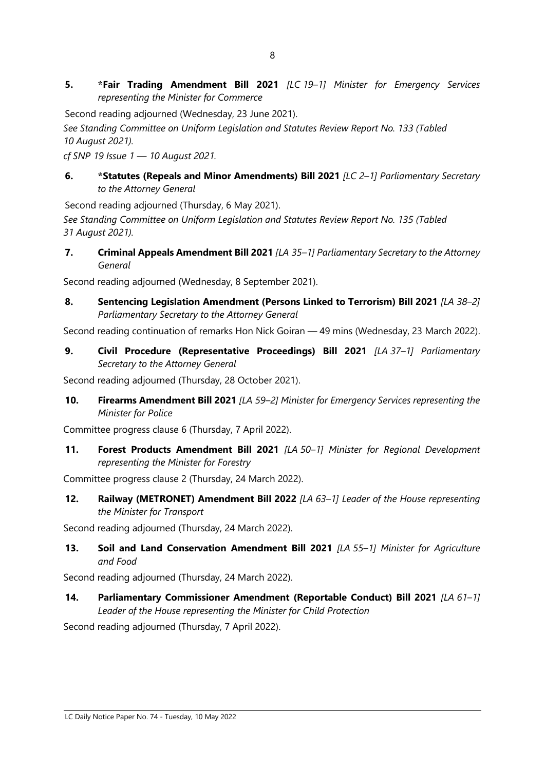**5. \*Fair Trading Amendment Bill 2021** *[LC 19–1] Minister for Emergency Services representing the Minister for Commerce*

Second reading adjourned (Wednesday, 23 June 2021).

*See Standing Committee on Uniform Legislation and Statutes Review Report No. 133 (Tabled 10 August 2021).*

*cf SNP 19 Issue 1 — 10 August 2021.*

**6. \*Statutes (Repeals and Minor Amendments) Bill 2021** *[LC 2–1] Parliamentary Secretary to the Attorney General*

Second reading adjourned (Thursday, 6 May 2021).

*See Standing Committee on Uniform Legislation and Statutes Review Report No. 135 (Tabled 31 August 2021).*

**7. Criminal Appeals Amendment Bill 2021** *[LA 35–1] Parliamentary Secretary to the Attorney General*

Second reading adjourned (Wednesday, 8 September 2021).

**8. Sentencing Legislation Amendment (Persons Linked to Terrorism) Bill 2021** *[LA 38–2] Parliamentary Secretary to the Attorney General*

Second reading continuation of remarks Hon Nick Goiran — 49 mins (Wednesday, 23 March 2022).

**9. Civil Procedure (Representative Proceedings) Bill 2021** *[LA 37–1] Parliamentary Secretary to the Attorney General*

Second reading adjourned (Thursday, 28 October 2021).

**10. Firearms Amendment Bill 2021** *[LA 59–2] Minister for Emergency Services representing the Minister for Police*

Committee progress clause 6 (Thursday, 7 April 2022).

**11. Forest Products Amendment Bill 2021** *[LA 50–1] Minister for Regional Development representing the Minister for Forestry*

Committee progress clause 2 (Thursday, 24 March 2022).

**12. Railway (METRONET) Amendment Bill 2022** *[LA 63–1] Leader of the House representing the Minister for Transport*

Second reading adjourned (Thursday, 24 March 2022).

**13. Soil and Land Conservation Amendment Bill 2021** *[LA 55–1] Minister for Agriculture and Food*

Second reading adjourned (Thursday, 24 March 2022).

**14. Parliamentary Commissioner Amendment (Reportable Conduct) Bill 2021** *[LA 61–1] Leader of the House representing the Minister for Child Protection*

Second reading adjourned (Thursday, 7 April 2022).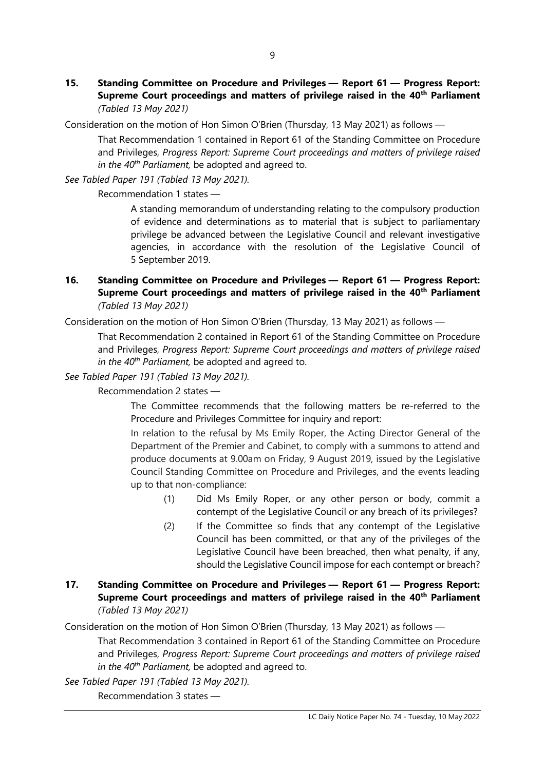**15. Standing Committee on Procedure and Privileges — Report 61 — Progress Report: Supreme Court proceedings and matters of privilege raised in the 40th Parliament** *(Tabled 13 May 2021)*

Consideration on the motion of Hon Simon O'Brien (Thursday, 13 May 2021) as follows —

That Recommendation 1 contained in Report 61 of the Standing Committee on Procedure and Privileges, *Progress Report: Supreme Court proceedings and matters of privilege raised in the 40th Parliament,* be adopted and agreed to.

*See Tabled Paper 191 (Tabled 13 May 2021).*

Recommendation 1 states —

A standing memorandum of understanding relating to the compulsory production of evidence and determinations as to material that is subject to parliamentary privilege be advanced between the Legislative Council and relevant investigative agencies, in accordance with the resolution of the Legislative Council of 5 September 2019.

**16. Standing Committee on Procedure and Privileges — Report 61 — Progress Report: Supreme Court proceedings and matters of privilege raised in the 40th Parliament** *(Tabled 13 May 2021)*

Consideration on the motion of Hon Simon O'Brien (Thursday, 13 May 2021) as follows —

That Recommendation 2 contained in Report 61 of the Standing Committee on Procedure and Privileges, *Progress Report: Supreme Court proceedings and matters of privilege raised in the 40th Parliament,* be adopted and agreed to.

*See Tabled Paper 191 (Tabled 13 May 2021).*

Recommendation 2 states —

The Committee recommends that the following matters be re-referred to the Procedure and Privileges Committee for inquiry and report:

In relation to the refusal by Ms Emily Roper, the Acting Director General of the Department of the Premier and Cabinet, to comply with a summons to attend and produce documents at 9.00am on Friday, 9 August 2019, issued by the Legislative Council Standing Committee on Procedure and Privileges, and the events leading up to that non-compliance:

- (1) Did Ms Emily Roper, or any other person or body, commit a contempt of the Legislative Council or any breach of its privileges?
- (2) If the Committee so finds that any contempt of the Legislative Council has been committed, or that any of the privileges of the Legislative Council have been breached, then what penalty, if any, should the Legislative Council impose for each contempt or breach?

### **17. Standing Committee on Procedure and Privileges — Report 61 — Progress Report: Supreme Court proceedings and matters of privilege raised in the 40th Parliament** *(Tabled 13 May 2021)*

Consideration on the motion of Hon Simon O'Brien (Thursday, 13 May 2021) as follows —

That Recommendation 3 contained in Report 61 of the Standing Committee on Procedure and Privileges, *Progress Report: Supreme Court proceedings and matters of privilege raised in the 40th Parliament,* be adopted and agreed to.

*See Tabled Paper 191 (Tabled 13 May 2021).*

Recommendation 3 states —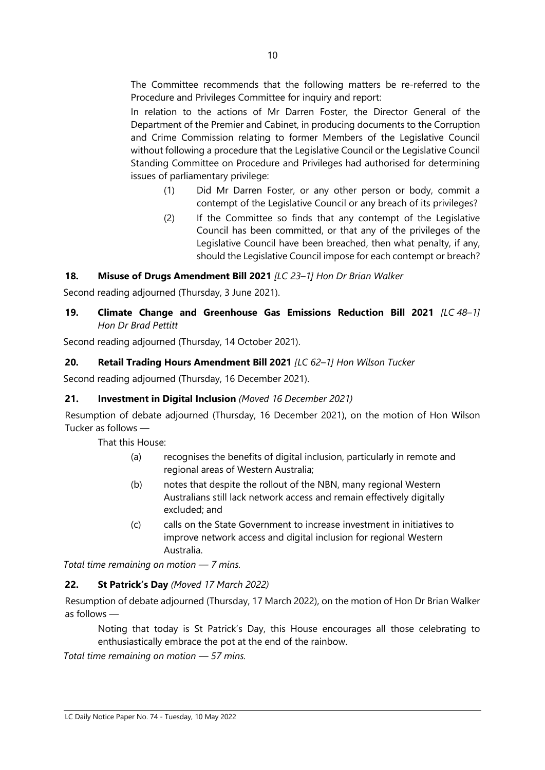The Committee recommends that the following matters be re-referred to the Procedure and Privileges Committee for inquiry and report:

In relation to the actions of Mr Darren Foster, the Director General of the Department of the Premier and Cabinet, in producing documents to the Corruption and Crime Commission relating to former Members of the Legislative Council without following a procedure that the Legislative Council or the Legislative Council Standing Committee on Procedure and Privileges had authorised for determining issues of parliamentary privilege:

- (1) Did Mr Darren Foster, or any other person or body, commit a contempt of the Legislative Council or any breach of its privileges?
- (2) If the Committee so finds that any contempt of the Legislative Council has been committed, or that any of the privileges of the Legislative Council have been breached, then what penalty, if any, should the Legislative Council impose for each contempt or breach?

# **18. Misuse of Drugs Amendment Bill 2021** *[LC 23–1] Hon Dr Brian Walker*

Second reading adjourned (Thursday, 3 June 2021).

# **19. Climate Change and Greenhouse Gas Emissions Reduction Bill 2021** *[LC 48–1] Hon Dr Brad Pettitt*

Second reading adjourned (Thursday, 14 October 2021).

#### **20. Retail Trading Hours Amendment Bill 2021** *[LC 62–1] Hon Wilson Tucker*

Second reading adjourned (Thursday, 16 December 2021).

#### **21. Investment in Digital Inclusion** *(Moved 16 December 2021)*

Resumption of debate adjourned (Thursday, 16 December 2021), on the motion of Hon Wilson Tucker as follows —

That this House:

- (a) recognises the benefits of digital inclusion, particularly in remote and regional areas of Western Australia;
- (b) notes that despite the rollout of the NBN, many regional Western Australians still lack network access and remain effectively digitally excluded; and
- (c) calls on the State Government to increase investment in initiatives to improve network access and digital inclusion for regional Western Australia.

*Total time remaining on motion — 7 mins.*

# **22. St Patrick's Day** *(Moved 17 March 2022)*

Resumption of debate adjourned (Thursday, 17 March 2022), on the motion of Hon Dr Brian Walker as follows —

Noting that today is St Patrick's Day, this House encourages all those celebrating to enthusiastically embrace the pot at the end of the rainbow.

*Total time remaining on motion — 57 mins.*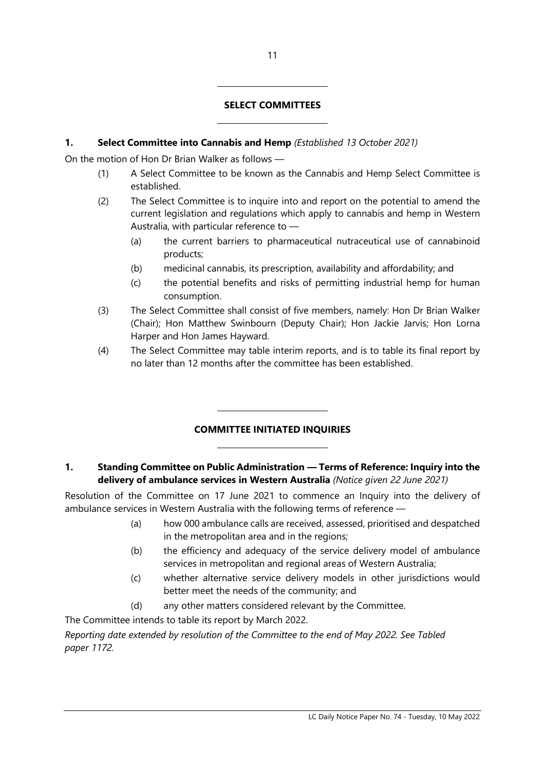#### **SELECT COMMITTEES**

#### **1. Select Committee into Cannabis and Hemp** *(Established 13 October 2021)*

 $\overline{a}$ 

 $\overline{a}$ 

 $\overline{a}$ 

 $\overline{a}$ 

On the motion of Hon Dr Brian Walker as follows —

- (1) A Select Committee to be known as the Cannabis and Hemp Select Committee is established.
- (2) The Select Committee is to inquire into and report on the potential to amend the current legislation and regulations which apply to cannabis and hemp in Western Australia, with particular reference to —
	- (a) the current barriers to pharmaceutical nutraceutical use of cannabinoid products;
	- (b) medicinal cannabis, its prescription, availability and affordability; and
	- (c) the potential benefits and risks of permitting industrial hemp for human consumption.
- (3) The Select Committee shall consist of five members, namely: Hon Dr Brian Walker (Chair); Hon Matthew Swinbourn (Deputy Chair); Hon Jackie Jarvis; Hon Lorna Harper and Hon James Hayward.
- (4) The Select Committee may table interim reports, and is to table its final report by no later than 12 months after the committee has been established.

# **COMMITTEE INITIATED INQUIRIES**

#### **1. Standing Committee on Public Administration — Terms of Reference: Inquiry into the delivery of ambulance services in Western Australia** *(Notice given 22 June 2021)*

Resolution of the Committee on 17 June 2021 to commence an Inquiry into the delivery of ambulance services in Western Australia with the following terms of reference —

- (a) how 000 ambulance calls are received, assessed, prioritised and despatched in the metropolitan area and in the regions;
- (b) the efficiency and adequacy of the service delivery model of ambulance services in metropolitan and regional areas of Western Australia;
- (c) whether alternative service delivery models in other jurisdictions would better meet the needs of the community; and
- (d) any other matters considered relevant by the Committee.

The Committee intends to table its report by March 2022.

*Reporting date extended by resolution of the Committee to the end of May 2022. See Tabled paper 1172.*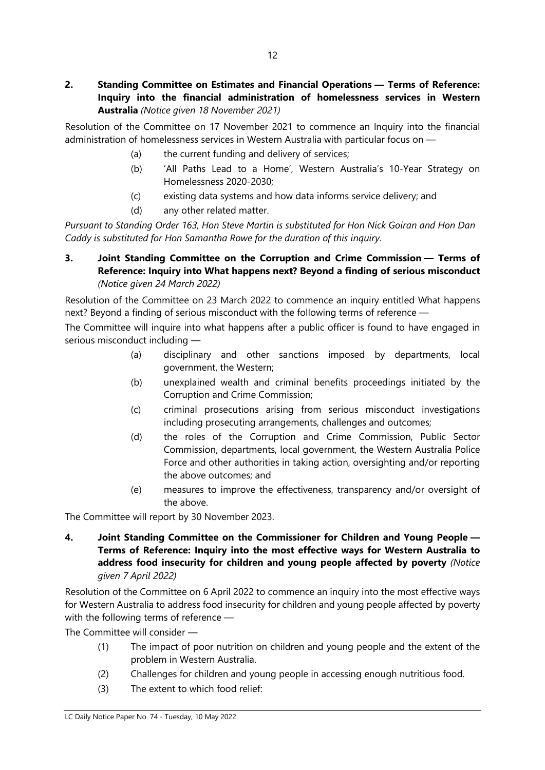# **2. Standing Committee on Estimates and Financial Operations — Terms of Reference: Inquiry into the financial administration of homelessness services in Western Australia** *(Notice given 18 November 2021)*

Resolution of the Committee on 17 November 2021 to commence an Inquiry into the financial administration of homelessness services in Western Australia with particular focus on —

- (a) the current funding and delivery of services;
- (b) 'All Paths Lead to a Home', Western Australia's 10-Year Strategy on Homelessness 2020-2030;
- (c) existing data systems and how data informs service delivery; and
- (d) any other related matter.

*Pursuant to Standing Order 163, Hon Steve Martin is substituted for Hon Nick Goiran and Hon Dan Caddy is substituted for Hon Samantha Rowe for the duration of this inquiry.*

### **3. Joint Standing Committee on the Corruption and Crime Commission — Terms of Reference: Inquiry into What happens next? Beyond a finding of serious misconduct** *(Notice given 24 March 2022)*

Resolution of the Committee on 23 March 2022 to commence an inquiry entitled What happens next? Beyond a finding of serious misconduct with the following terms of reference —

The Committee will inquire into what happens after a public officer is found to have engaged in serious misconduct including —

- (a) disciplinary and other sanctions imposed by departments, local government, the Western;
- (b) unexplained wealth and criminal benefits proceedings initiated by the Corruption and Crime Commission;
- (c) criminal prosecutions arising from serious misconduct investigations including prosecuting arrangements, challenges and outcomes;
- (d) the roles of the Corruption and Crime Commission, Public Sector Commission, departments, local government, the Western Australia Police Force and other authorities in taking action, oversighting and/or reporting the above outcomes; and
- (e) measures to improve the effectiveness, transparency and/or oversight of the above.

The Committee will report by 30 November 2023.

**4. Joint Standing Committee on the Commissioner for Children and Young People — Terms of Reference: Inquiry into the most effective ways for Western Australia to address food insecurity for children and young people affected by poverty** *(Notice given 7 April 2022)*

Resolution of the Committee on 6 April 2022 to commence an inquiry into the most effective ways for Western Australia to address food insecurity for children and young people affected by poverty with the following terms of reference —

The Committee will consider —

- (1) The impact of poor nutrition on children and young people and the extent of the problem in Western Australia.
- (2) Challenges for children and young people in accessing enough nutritious food.
- (3) The extent to which food relief: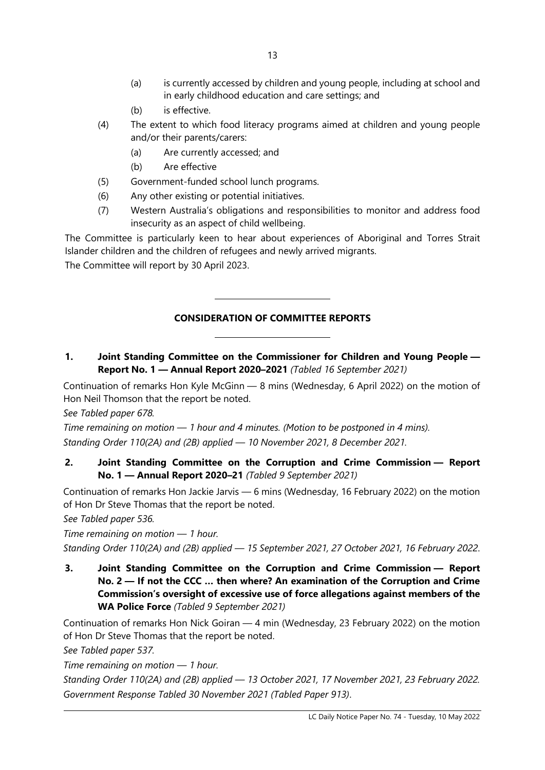- (a) is currently accessed by children and young people, including at school and in early childhood education and care settings; and
- (b) is effective.
- (4) The extent to which food literacy programs aimed at children and young people and/or their parents/carers:
	- (a) Are currently accessed; and
	- (b) Are effective
- (5) Government-funded school lunch programs.

 $\overline{\phantom{a}}$ 

 $\overline{\phantom{a}}$ 

- (6) Any other existing or potential initiatives.
- (7) Western Australia's obligations and responsibilities to monitor and address food insecurity as an aspect of child wellbeing.

The Committee is particularly keen to hear about experiences of Aboriginal and Torres Strait Islander children and the children of refugees and newly arrived migrants.

The Committee will report by 30 April 2023.

#### **CONSIDERATION OF COMMITTEE REPORTS**

**1. Joint Standing Committee on the Commissioner for Children and Young People — Report No. 1 — Annual Report 2020–2021** *(Tabled 16 September 2021)*

Continuation of remarks Hon Kyle McGinn — 8 mins (Wednesday, 6 April 2022) on the motion of Hon Neil Thomson that the report be noted.

*See Tabled paper 678.*

*Time remaining on motion — 1 hour and 4 minutes. (Motion to be postponed in 4 mins). Standing Order 110(2A) and (2B) applied — 10 November 2021, 8 December 2021.*

# **2. Joint Standing Committee on the Corruption and Crime Commission — Report No. 1 — Annual Report 2020–21** *(Tabled 9 September 2021)*

Continuation of remarks Hon Jackie Jarvis — 6 mins (Wednesday, 16 February 2022) on the motion of Hon Dr Steve Thomas that the report be noted.

*See Tabled paper 536.*

*Time remaining on motion — 1 hour.* 

*Standing Order 110(2A) and (2B) applied — 15 September 2021, 27 October 2021, 16 February 2022*.

**3. Joint Standing Committee on the Corruption and Crime Commission — Report No. 2 — If not the CCC … then where? An examination of the Corruption and Crime Commission's oversight of excessive use of force allegations against members of the WA Police Force** *(Tabled 9 September 2021)*

Continuation of remarks Hon Nick Goiran — 4 min (Wednesday, 23 February 2022) on the motion of Hon Dr Steve Thomas that the report be noted.

*See Tabled paper 537.*

*Time remaining on motion — 1 hour.*

*Standing Order 110(2A) and (2B) applied — 13 October 2021, 17 November 2021, 23 February 2022. Government Response Tabled 30 November 2021 (Tabled Paper 913)*.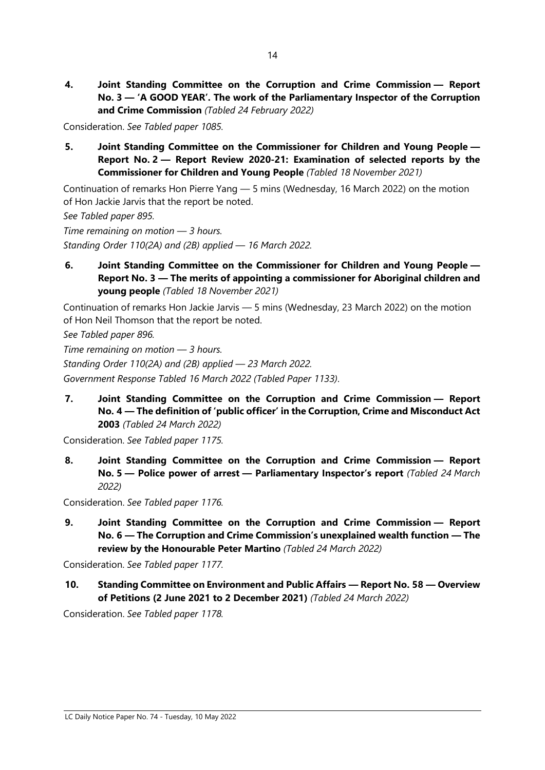**4. Joint Standing Committee on the Corruption and Crime Commission — Report No. 3 — 'A GOOD YEAR'. The work of the Parliamentary Inspector of the Corruption and Crime Commission** *(Tabled 24 February 2022)*

Consideration. *See Tabled paper 1085.*

**5. Joint Standing Committee on the Commissioner for Children and Young People — Report No. 2 — Report Review 2020-21: Examination of selected reports by the Commissioner for Children and Young People** *(Tabled 18 November 2021)*

Continuation of remarks Hon Pierre Yang — 5 mins (Wednesday, 16 March 2022) on the motion of Hon Jackie Jarvis that the report be noted.

*See Tabled paper 895.*

*Time remaining on motion — 3 hours. Standing Order 110(2A) and (2B) applied — 16 March 2022.*

**6. Joint Standing Committee on the Commissioner for Children and Young People — Report No. 3 — The merits of appointing a commissioner for Aboriginal children and young people** *(Tabled 18 November 2021)*

Continuation of remarks Hon Jackie Jarvis — 5 mins (Wednesday, 23 March 2022) on the motion of Hon Neil Thomson that the report be noted.

*See Tabled paper 896.*

*Time remaining on motion — 3 hours.*

*Standing Order 110(2A) and (2B) applied — 23 March 2022.*

*Government Response Tabled 16 March 2022 (Tabled Paper 1133)*.

**7. Joint Standing Committee on the Corruption and Crime Commission — Report No. 4 — The definition of 'public officer' in the Corruption, Crime and Misconduct Act 2003** *(Tabled 24 March 2022)*

Consideration. *See Tabled paper 1175.*

**8. Joint Standing Committee on the Corruption and Crime Commission — Report No. 5 — Police power of arrest — Parliamentary Inspector's report** *(Tabled 24 March 2022)*

Consideration. *See Tabled paper 1176.*

**9. Joint Standing Committee on the Corruption and Crime Commission — Report No. 6 — The Corruption and Crime Commission's unexplained wealth function — The review by the Honourable Peter Martino** *(Tabled 24 March 2022)*

Consideration. *See Tabled paper 1177.*

**10. Standing Committee on Environment and Public Affairs — Report No. 58 — Overview of Petitions (2 June 2021 to 2 December 2021)** *(Tabled 24 March 2022)*

Consideration. *See Tabled paper 1178.*